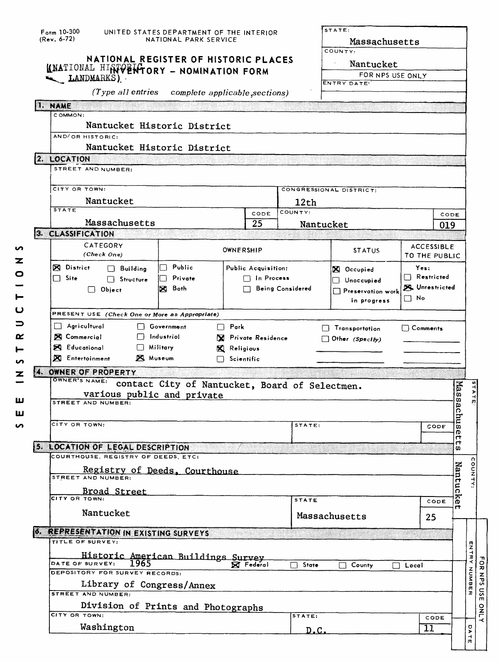| $F_{\text{orm}}$ 10-300<br>$(Rev. 6-72)$                         | UNITED STATES DEPARTMENT OF THE INTERIOR<br>NATIONAL PARK SERVICE |                            |                  | STATE:<br>Massachusetts                                |                           |             |                                      |
|------------------------------------------------------------------|-------------------------------------------------------------------|----------------------------|------------------|--------------------------------------------------------|---------------------------|-------------|--------------------------------------|
| KNATIONAL HIRTVENTORY - NOMINATION FORM<br>LANDMARKS)            | NATIONAL REGISTER OF HISTORIC PLACES                              |                            |                  | COUNTY:<br>Nantucket<br>FOR NPS USE ONLY<br>ENTRY DATE |                           |             |                                      |
| (Type all entries                                                | complete applicable, sections)                                    |                            |                  |                                                        |                           |             |                                      |
| <b>NAME</b><br>COMMON:                                           |                                                                   |                            |                  |                                                        |                           |             |                                      |
| Nantucket Historic District                                      |                                                                   |                            |                  |                                                        |                           |             |                                      |
| AND/OR HISTORIC:                                                 |                                                                   |                            |                  |                                                        |                           |             |                                      |
| Nantucket Historic District                                      |                                                                   |                            |                  |                                                        |                           |             |                                      |
| 12. LOCATION<br>STREET AND NUMBER:                               |                                                                   |                            |                  |                                                        |                           |             |                                      |
|                                                                  |                                                                   |                            |                  |                                                        |                           |             |                                      |
| CITY OR TOWN:                                                    |                                                                   |                            |                  | CONGRESSIONAL DISTRICT:                                |                           |             |                                      |
| Nantucket<br><b>STATE</b>                                        |                                                                   |                            | 12th<br>COUNTY:  |                                                        |                           |             |                                      |
| Massachusetts                                                    |                                                                   | CODE<br>25                 |                  | Nantucket                                              |                           | CODE<br>019 |                                      |
| 3. CLASSIFICATION                                                |                                                                   |                            |                  |                                                        |                           |             |                                      |
| CATEGORY                                                         |                                                                   | OWNERSHIP                  |                  | <b>STATUS</b>                                          | <b>ACCESSIBLE</b>         |             |                                      |
| (Check One)                                                      |                                                                   |                            |                  |                                                        | TO THE PUBLIC             |             |                                      |
| <b>X</b> District<br>$\Box$ Building                             | Public                                                            | <b>Public Acquisition:</b> |                  | X Occupied                                             | Yes:<br>$\Box$ Restricted |             |                                      |
| $\Box$ Site<br>$\Box$ Structure<br>$\Box$ Object                 | Private<br> 风 Both                                                | $\Box$ In Process          | Being Considered | $\Box$ Unoccupied                                      | Unrestricted              |             |                                      |
|                                                                  |                                                                   |                            |                  | Preservation work<br>in progress                       | $\Box$ No                 |             |                                      |
| PRESENT USE (Check One or More as Appropriate)                   |                                                                   |                            |                  |                                                        |                           |             |                                      |
| $\Box$ Agricultural                                              | Government                                                        | $\Box$ Park                |                  | Transportation                                         | $\Box$ Comments           |             |                                      |
| <b>X</b> Commercial                                              | $\Box$ Industriol                                                 | R Private Residence        |                  | Other (Specify)                                        |                           |             |                                      |
| <b>X</b> Educational<br>$\Box$ Military                          |                                                                   | X Religious                |                  |                                                        |                           |             |                                      |
| <b>X</b> Entertoinment<br><b>X</b> Museum                        |                                                                   | $\Box$ Scientific          |                  |                                                        |                           |             |                                      |
| 4. OWNER OF PROPERTY<br>OWNER'S NAME:                            |                                                                   |                            |                  |                                                        |                           |             |                                      |
|                                                                  |                                                                   |                            |                  |                                                        |                           |             |                                      |
|                                                                  | contact City of Nantucket, Board of Selectmen.                    |                            |                  |                                                        |                           |             |                                      |
| various public and private<br>STREET AND NUMBER:                 |                                                                   |                            |                  |                                                        |                           |             |                                      |
|                                                                  |                                                                   |                            |                  |                                                        |                           |             |                                      |
| CITY OR TOWN:                                                    |                                                                   |                            | STATE:           |                                                        | CODE                      | Massachu    |                                      |
|                                                                  |                                                                   |                            |                  |                                                        |                           | ወ<br>π      |                                      |
| 5. LOCATION OF LEGAL DESCRIPTION                                 |                                                                   |                            |                  |                                                        |                           | ᡣ<br>w      |                                      |
| COURTHOUSE, REGISTRY OF DEEDS, ETC:                              |                                                                   |                            |                  |                                                        |                           |             |                                      |
| Registry of Deeds, Courthouse<br>STREET AND NUMBER:              |                                                                   |                            |                  |                                                        |                           |             |                                      |
|                                                                  |                                                                   |                            |                  |                                                        |                           |             |                                      |
| <b>Broad Street</b>                                              |                                                                   |                            | <b>STATE</b>     |                                                        | CODE                      | Nantucke    |                                      |
| Nantucket                                                        |                                                                   |                            |                  | Massachusetts                                          | 25                        | Η           |                                      |
|                                                                  |                                                                   |                            |                  |                                                        |                           |             |                                      |
| <b>6. REPRESENTATION IN EXISTING SURVEYS</b><br>TITLE OF SURVEY: |                                                                   |                            |                  |                                                        |                           |             |                                      |
|                                                                  |                                                                   |                            |                  |                                                        |                           |             |                                      |
| Historic American Buildings Survey<br>DATE OF SURVEY:<br>1965    |                                                                   | <b>X</b> Federal           | State            | County                                                 | $\Box$ Local              |             |                                      |
| DEPOSITORY FOR SURVEY RECORDS:                                   |                                                                   |                            |                  |                                                        |                           |             |                                      |
| Library of Congress/Annex<br>STREET AND NUMBER                   |                                                                   |                            |                  |                                                        |                           |             |                                      |
|                                                                  |                                                                   |                            |                  |                                                        |                           |             | <b>OUNTY:</b><br><b>ENTRY NUMBER</b> |
| Division of Prints and Photographs<br>CITY OR TOWN:              |                                                                   |                            | STATE:           |                                                        | CODE                      |             |                                      |
| Washington                                                       |                                                                   |                            | D.C.             |                                                        | 11                        |             | D<br>Y<br>$\frac{1}{n}$              |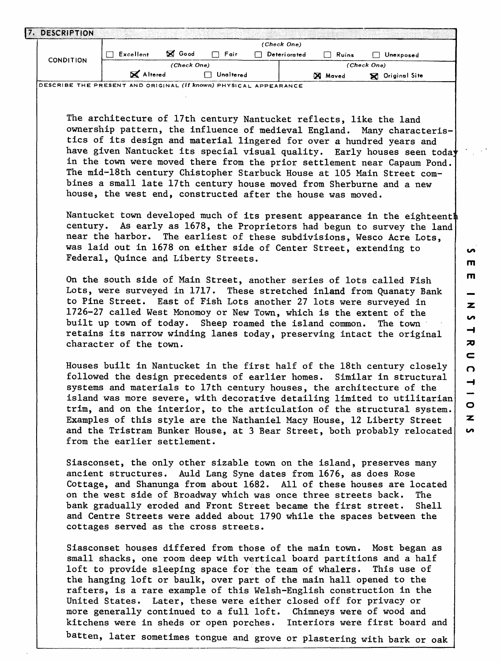|                  | Excellent<br>$\Box$                                                                                                                                                                      | ⊠ Good      | $\Box$ Fair      | Deteriorated | (Check One) | $\Box$ Ruins | $\Box$ Unexposed                                                                                                                                                                                                                                                                                                                                                                                                                                                                                                                                                                                                                                                                                                                                                                                                                                                                                                                                                                                                                                                                                                                                                                                                            |
|------------------|------------------------------------------------------------------------------------------------------------------------------------------------------------------------------------------|-------------|------------------|--------------|-------------|--------------|-----------------------------------------------------------------------------------------------------------------------------------------------------------------------------------------------------------------------------------------------------------------------------------------------------------------------------------------------------------------------------------------------------------------------------------------------------------------------------------------------------------------------------------------------------------------------------------------------------------------------------------------------------------------------------------------------------------------------------------------------------------------------------------------------------------------------------------------------------------------------------------------------------------------------------------------------------------------------------------------------------------------------------------------------------------------------------------------------------------------------------------------------------------------------------------------------------------------------------|
| <b>CONDITION</b> |                                                                                                                                                                                          | (Check One) |                  |              |             |              | (Check One)                                                                                                                                                                                                                                                                                                                                                                                                                                                                                                                                                                                                                                                                                                                                                                                                                                                                                                                                                                                                                                                                                                                                                                                                                 |
|                  | X Altered                                                                                                                                                                                |             | $\Box$ Unaltered |              |             | X Maved      | <b>X</b> Original Site                                                                                                                                                                                                                                                                                                                                                                                                                                                                                                                                                                                                                                                                                                                                                                                                                                                                                                                                                                                                                                                                                                                                                                                                      |
|                  | DESCRIBE THE PRESENT AND ORIGINAL (if known) PHYSICAL APPEARANCE                                                                                                                         |             |                  |              |             |              |                                                                                                                                                                                                                                                                                                                                                                                                                                                                                                                                                                                                                                                                                                                                                                                                                                                                                                                                                                                                                                                                                                                                                                                                                             |
|                  | house, the west end, constructed after the house was moved.<br>Federal, Quince and Liberty Streets.<br>built up town of today. Sheep roamed the island common.<br>character of the town. |             |                  |              |             |              | The architecture of 17th century Nantucket reflects, like the land<br>ownership pattern, the influence of medieval England. Many characteris-<br>tics of its design and material lingered for over a hundred years and<br>have given Nantucket its special visual quality. Early houses seen today<br>in the town were moved there from the prior settlement near Capaum Pond.<br>The mid-18th century Chistopher Starbuck House at 105 Main Street com-<br>bines a small late 17th century house moved from Sherburne and a new<br>Nantucket town developed much of its present appearance in the eighteenth<br>century. As early as 1678, the Proprietors had begun to survey the land<br>near the harbor. The earliest of these subdivisions, Wesco Acre Lots,<br>was laid out in 1678 on either side of Center Street, extending to<br>On the south side of Main Street, another series of lots called Fish<br>Lots, were surveyed in 1717. These stretched inland from Quanaty Bank<br>to Pine Street. East of Fish Lots another 27 lots were surveyed in<br>1726-27 called West Monomoy or New Town, which is the extent of the<br>The town<br>retains its narrow winding lanes today, preserving intact the original |
|                  | from the earlier settlement.                                                                                                                                                             |             |                  |              |             |              | Houses built in Nantucket in the first half of the 18th century closely<br>followed the design precedents of earlier homes. Similar in structural<br>systems and materials to 17th century houses, the architecture of the<br>island was more severe, with decorative detailing limited to utilitarian<br>trim, and on the interior, to the articulation of the structural system.<br>Examples of this style are the Nathaniel Macy House, 12 Liberty Street<br>and the Tristram Bunker House, at 3 Bear Street, both probably relocated                                                                                                                                                                                                                                                                                                                                                                                                                                                                                                                                                                                                                                                                                    |
|                  | on the west side of Broadway which was once three streets back.<br>bank gradually eroded and Front Street became the first street.<br>cottages served as the cross streets.              |             |                  |              |             |              | Siasconset, the only other sizable town on the island, preserves many<br>ancient structures. Auld Lang Syne dates from 1676, as does Rose<br>Cottage, and Shanunga from about 1682. All of these houses are located<br>The .<br>She11<br>and Centre Streets were added about 1790 while the spaces between the                                                                                                                                                                                                                                                                                                                                                                                                                                                                                                                                                                                                                                                                                                                                                                                                                                                                                                              |
|                  | loft to provide sleeping space for the team of whalers.                                                                                                                                  |             |                  |              |             |              | Siasconset houses differed from those of the main town. Most began as<br>small shacks, one room deep with vertical board partitions and a half<br>This use of<br>the hanging loft or baulk, over part of the main hall opened to the<br>rafters, is a rare example of this Welsh-English construction in the                                                                                                                                                                                                                                                                                                                                                                                                                                                                                                                                                                                                                                                                                                                                                                                                                                                                                                                |

kitchens were in sheds or open porches. Interiors were first board and batten, later sometimes tongue and grove or plastering with bark or oak

more generally continued to a full loft. Chimneys were of wood and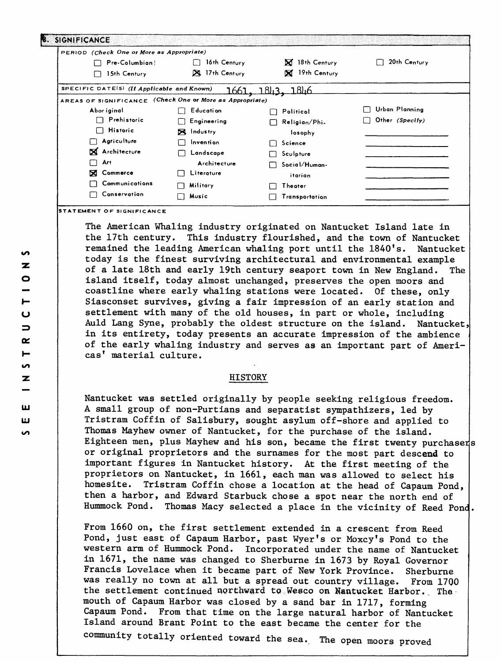| PERIOD (Check One or More as Appropriate)                |                   |                       |                 |
|----------------------------------------------------------|-------------------|-----------------------|-----------------|
| Pre-Columbian                                            | 16th Century      | <b>X</b> 18th Century | 20th Century    |
| 15th Century                                             | 17th Century      | <b>X</b> 19th Century |                 |
| SPECIFIC DATE(S) (If Applicable and Known)               | 1661              | <u> 1843. 1846</u>    |                 |
| AREAS OF SIGNIFICANCE (Check One or More as Appropriate) |                   |                       |                 |
| Abor iginal                                              | Education         | Politicol<br>П        | Urban Planning  |
| Prehistoric                                              | Engineering       | Religion/Phi.<br>┌    | Other (Specify) |
| <b>Historic</b><br>$\blacksquare$                        | <b>N</b> Industry | losophy               |                 |
| Agriculture                                              | Invention         | $\Box$ Science        |                 |
| X Architecture                                           | Landscape         | Sculpture             |                 |
| Art                                                      | Architecture      | Social/Human-         |                 |
| ⊠<br>Commerce                                            | Literature        | itarian               |                 |
| Communications                                           | Military          | Theater               |                 |
| Conservation                                             | Music             | Transportation        |                 |

The American Whaling industry originated on Nantucket Island late in the 17th century. This industry flourished, and the town of Nantucket remained the leading American whaling port until the 1840's. Nantucket today is the finest surviving architectural and environmental example of a late 18th and early 19th century seaport town in New England. The island itself, today almost unchanged, preserves the open moors and coastline where early whaling stations were located. Of these, only Siasconset survives, giving a fair impression of an early station and settlement with many of the old houses, in part or whole, including Auld Lang Syne, probably the oldest structure on the island. Nantucket in its entirety, today presents an accurate impression of the ambience of the early whaling industry and serves as an important part of Americas' material culture.

## HISTORY

Nantucket was settled originally by people seeking religious freedom. A small group of non-Purtians and separatist sympathizers, led by Tristram Coffin of Salisbury, sought asylum off-shore and applied to Thomas Mayhew owner of Nantucket, for the purchase of the island. Eighteen men, plus Mayhew and his son, became the first twenty purchasers or original proprietors and the surnames for the most part descend to important figures in Nantucket history. At the first meeting of the proprietors on Nantucket, in 1661, each man was allowed to select his homesite. Tristram Coffin chose a location at the head of Capaum Pond, then a harbor, and Edward Starbuck chose a spot near the north end of Hummock Pond. Thomas Macy selected a place in the vicinity of Reed Pond

From 1660 on, the first settlement extended in a crescent from Reed Pond, just east of Capaum Harbor, past Wyer's or Moxcy's Pond to the western arm of Hummock Pond. Incorporated under the name of Nantucket in 1671, the name was changed to Sherburne in 1673 by Royal Governor Francis Lovelace when it became part of New York Province. Sherburne was really no town at all but a spread out country village. From 17QQ the settlement continued northward to Wesco on Nantucket Harbor.. The mouth of Capaum Harbor was closed by a sand bar in 1717, forming Capaum Pond. From that time on the large natural harbor of Nantucket Island around Brant Point to the east became the center for the

community totally oriented toward the sea.. The open moors proved

**STATEMENT OF SIGNIFICANCE**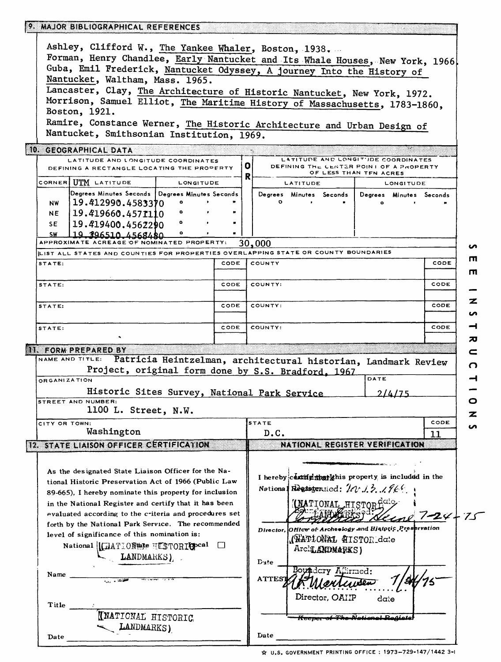|                                                                              | 9. MAJOR BIBLIOGRAPHICAL REFERENCES                                                                                                                    |      |         |               |          |                                                                                                          |         |           |                         |
|------------------------------------------------------------------------------|--------------------------------------------------------------------------------------------------------------------------------------------------------|------|---------|---------------|----------|----------------------------------------------------------------------------------------------------------|---------|-----------|-------------------------|
|                                                                              |                                                                                                                                                        |      |         |               |          |                                                                                                          |         |           |                         |
|                                                                              | Ashley, Clifford W., The Yankee Whaler, Boston, 1938.                                                                                                  |      |         |               |          |                                                                                                          |         |           |                         |
| Forman, Henry Chandlee, Early Nantucket and Its Whale Houses, New York, 1966 |                                                                                                                                                        |      |         |               |          |                                                                                                          |         |           |                         |
| Guba, Emil Frederick, Nantucket Odyssey, A journey Into the History of       |                                                                                                                                                        |      |         |               |          |                                                                                                          |         |           |                         |
| Nantucket, Waltham, Mass. 1965.                                              |                                                                                                                                                        |      |         |               |          |                                                                                                          |         |           |                         |
|                                                                              | Lancaster, Clay, The Architecture of Historic Nantucket, New York, 1972.<br>Morrison, Samuel Elliot, The Maritime History of Massachusetts, 1783-1860, |      |         |               |          |                                                                                                          |         |           |                         |
|                                                                              |                                                                                                                                                        |      |         |               |          |                                                                                                          |         |           |                         |
|                                                                              | Boston, 1921.                                                                                                                                          |      |         |               |          |                                                                                                          |         |           |                         |
|                                                                              | Ramire, Constance Werner, The Historic Architecture and Urban Design of                                                                                |      |         |               |          |                                                                                                          |         |           |                         |
|                                                                              | Nantucket, Smithsonian Institution, 1969.                                                                                                              |      |         |               |          |                                                                                                          |         |           |                         |
|                                                                              | 10. GEOGRAPHICAL DATA                                                                                                                                  |      |         |               |          |                                                                                                          |         |           |                         |
|                                                                              | LATITUDE AND LONGITUDE COORDINATES<br>DEFINING A RECTANGLE LOCATING THE PROPERTY                                                                       |      | 0 <br>R |               |          | LATITUDE AND LONGIT'JDE COORDINATES<br>DEFINING THE CENTER POINT OF A PROPERTY<br>OF LESS THAN TEN ACRES |         |           |                         |
|                                                                              | CORNER UTM LATITUDE<br><b>LONGITUDE</b>                                                                                                                |      |         |               | LATITUDE |                                                                                                          |         | LONGITUDE |                         |
|                                                                              | Degrees Minutes Seconds   Degrees Minutes Seconds                                                                                                      |      |         |               |          | Degrees Minutes Seconds                                                                                  |         |           | Degrees Minutes Seconds |
| <b>NW</b>                                                                    | 19.412990.4583370                                                                                                                                      |      |         |               |          |                                                                                                          |         |           |                         |
| NE                                                                           | 19.419660.4571110                                                                                                                                      |      |         |               |          |                                                                                                          |         |           |                         |
| SE.                                                                          | 19.419400.4562290                                                                                                                                      |      |         |               |          |                                                                                                          |         |           |                         |
| <b>SW</b>                                                                    | 19 896510 4568480                                                                                                                                      |      |         |               |          |                                                                                                          |         |           |                         |
|                                                                              | APPROXIMATE ACREAGE OF NOMINATED PROPERTY:                                                                                                             |      |         | 30,000        |          |                                                                                                          |         |           |                         |
|                                                                              | LIST ALL STATES AND COUNTIES FOR PROPERTIES OVERLAPPING STATE OR COUNTY BOUNDARIES                                                                     |      |         |               |          |                                                                                                          |         |           |                         |
| STATE:                                                                       |                                                                                                                                                        | CODE |         | COUNTY        |          |                                                                                                          |         |           | CODE                    |
| STATE:                                                                       |                                                                                                                                                        | CODE |         | COUNTY:       |          |                                                                                                          |         |           | CODE                    |
|                                                                              |                                                                                                                                                        |      |         |               |          |                                                                                                          |         |           |                         |
| STATE:                                                                       |                                                                                                                                                        | CODE |         | COUNTY:       |          |                                                                                                          |         |           | CODE                    |
|                                                                              |                                                                                                                                                        |      |         |               |          |                                                                                                          |         |           |                         |
| STATE:                                                                       |                                                                                                                                                        | CODE |         | COUNTY:       |          |                                                                                                          |         |           | CODE                    |
|                                                                              |                                                                                                                                                        |      |         |               |          |                                                                                                          |         |           |                         |
|                                                                              |                                                                                                                                                        |      |         |               |          |                                                                                                          |         |           |                         |
|                                                                              | 11. FORM PREPARED BY<br>NAME AND TITLE:                                                                                                                |      |         |               |          |                                                                                                          |         |           |                         |
|                                                                              | Patricia Heintzelman, architectural historian, Landmark Review                                                                                         |      |         |               |          |                                                                                                          |         |           |                         |
|                                                                              | Project, original form done by S.S. Bradford, 1967                                                                                                     |      |         |               |          |                                                                                                          | DATE    |           |                         |
| ORGANIZATION                                                                 |                                                                                                                                                        |      |         |               |          |                                                                                                          |         |           |                         |
|                                                                              | Historic Sites Survey, National Park Service                                                                                                           |      |         |               |          |                                                                                                          |         | 2/4/75    |                         |
|                                                                              | STREET AND NUMBER:                                                                                                                                     |      |         |               |          |                                                                                                          |         |           |                         |
|                                                                              | 1100 L. Street, N.W.                                                                                                                                   |      |         |               |          |                                                                                                          |         |           |                         |
| CITY OR TOWN:                                                                |                                                                                                                                                        |      |         | $s$ tate      |          |                                                                                                          |         |           | CODE                    |
|                                                                              | Washington                                                                                                                                             |      |         | D.C.          |          |                                                                                                          |         |           | 11                      |
|                                                                              | <b>12. STATE LIAISON OFFICER CERTIFICATION</b>                                                                                                         |      |         |               |          | NATIONAL REGISTER VERIFICATION                                                                           |         |           |                         |
|                                                                              |                                                                                                                                                        |      |         |               |          |                                                                                                          |         |           |                         |
|                                                                              |                                                                                                                                                        |      |         |               |          |                                                                                                          |         |           |                         |
|                                                                              | As the designated State Liaison Officer for the Na-                                                                                                    |      |         |               |          | I hereby centrical that this property is included in the                                                 |         |           |                         |
|                                                                              | tional Historic Preservation Act of 1966 (Public Law                                                                                                   |      |         |               |          |                                                                                                          |         |           |                         |
|                                                                              | 89-665). I hereby nominate this property for inclusion                                                                                                 |      |         |               |          | National Requisiterated: $\mathcal{W}$ .1.2. .1.964                                                      |         |           |                         |
|                                                                              | in the National Register and certify that it has been                                                                                                  |      |         |               |          |                                                                                                          |         |           |                         |
|                                                                              | evaluated according to the criteria and procedures set                                                                                                 |      |         |               |          | (NATIONAL HISTOR <sup>CICL</sup>                                                                         |         |           | <u>Heine</u> 7-24-75    |
|                                                                              | forth by the National Park Service. The recommended                                                                                                    |      |         |               |          |                                                                                                          |         |           |                         |
|                                                                              | level of significance of this nomination is:                                                                                                           |      |         |               |          | Director, Office of Archeology and Historic Preservation                                                 |         |           |                         |
|                                                                              | National   MATION also HESTORIO pcal                                                                                                                   |      |         |               |          | (WATIONAL HISTOR date                                                                                    |         |           |                         |
|                                                                              |                                                                                                                                                        |      |         |               |          | Arclu ANDMARKS)                                                                                          |         |           |                         |
|                                                                              | LANDMARKS),                                                                                                                                            |      |         | $D_3te$       |          |                                                                                                          |         |           |                         |
| Name                                                                         |                                                                                                                                                        |      |         |               |          | Boyndary Affirmed:                                                                                       |         |           |                         |
|                                                                              |                                                                                                                                                        |      |         | <b>ATTEST</b> |          |                                                                                                          |         |           |                         |
|                                                                              |                                                                                                                                                        |      |         |               |          |                                                                                                          |         |           |                         |
| Title                                                                        |                                                                                                                                                        |      |         |               |          | Director, OAIIP                                                                                          | $d$ ate |           |                         |
|                                                                              |                                                                                                                                                        |      |         |               |          |                                                                                                          |         |           |                         |
|                                                                              | <b>INATIONAL HISTORIC</b>                                                                                                                              |      |         |               |          | <b>Keeper of The National Registe</b>                                                                    |         |           |                         |
|                                                                              | LANDMARKS)                                                                                                                                             |      |         | Date          |          |                                                                                                          |         |           |                         |
| Date                                                                         |                                                                                                                                                        |      |         |               |          |                                                                                                          |         |           |                         |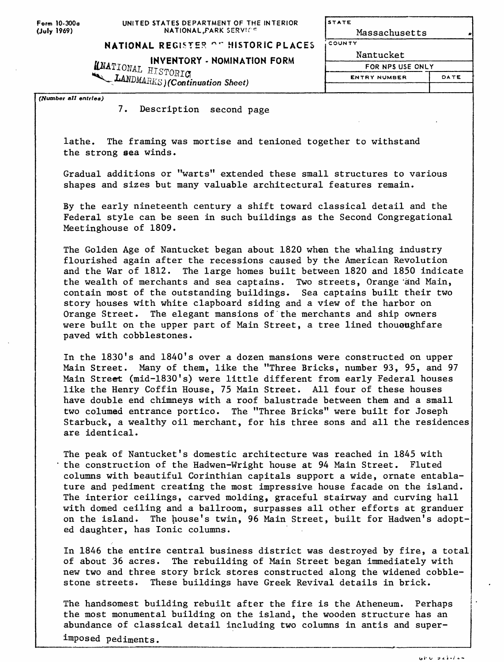Form 10-300o **(July** 1969)

**STATE** Massachusetts COUNTY

## **NATIONAL REGISTER AT HISTORIC PLACES**

**INVENTORY - NOMINATION FORM**<br>
ISTORIC *S) (Continuation Sheet)*

| Nantucket           |      |
|---------------------|------|
| FOR NPS USE ONLY    |      |
| <b>ENTRY NUMBER</b> | DATE |
|                     |      |

*(Number all entries)*

7. Description second page

lathe. The framing was mortise and tenioned together to withstand the strong sea winds.

Gradual additions or "warts" extended these small structures to various shapes and sizes but many valuable architectural features remain.

By the early nineteenth century a shift toward classical detail and the Federal style can be seen in such buildings as the Second Congregational Meetinghouse of 1809.

The Golden Age of Nantucket began about 1820 when the whaling industry flourished again after the recessions caused by the American Revolution and the War of 1812. The large homes built between 1820 and 1850 indicate the wealth of merchants and sea captains. Two streets, Orange 'and Main, contain most of the outstanding buildings. Sea captains built their two story houses with white clapboard siding and a view of the harbor on Orange Street. The elegant mansions of'the merchants and ship owners were built on the upper part of Main Street, a tree lined thoueughfare paved with cobblestones.

In the 1830's and 1840's over a dozen mansions were constructed on upper Main Street. Many of them, like the "Three Bricks, number 93, 95, and 97 Main Street (mid-1830's) were little different from early Federal houses like the Henry Coffin House, 75 Main Street. All four of these houses have double end chimneys with a roof balustrade between them and a small two columed entrance portico. The "Three Bricks" were built for Joseph Starbuck, a wealthy oil merchant, for his three sons and all the residences are identical.

The peak of Nantucket's domestic architecture was reached in 1845 with the construction of the Hadwen-Wright house at 94 Main Street. Fluted columns with beautiful Corinthian capitals support a wide, ornate entablature and pediment creating the most impressive house facade on the island. The interior ceilings, carved molding, graceful stairway and curving hall with domed ceiling and a ballroom, surpasses all other efforts at granduer on the island. The house's twin, 96 Main Street, built for Hadwen's adopted daughter, has Ionic columns.

In 1846 the entire central business district was destroyed by fire, a total of about 36 acres. The rebuilding of Main Street began immediately with new two and three story brick stores constructed along the widened cobblestone streets. These buildings have Greek Revival details in brick.

The handsomest building rebuilt after the fire is the Atheneum. Perhaps the most monumental building on the island, the wooden structure has an abundance of classical detail including two columns in antis and super-

imposed pediments.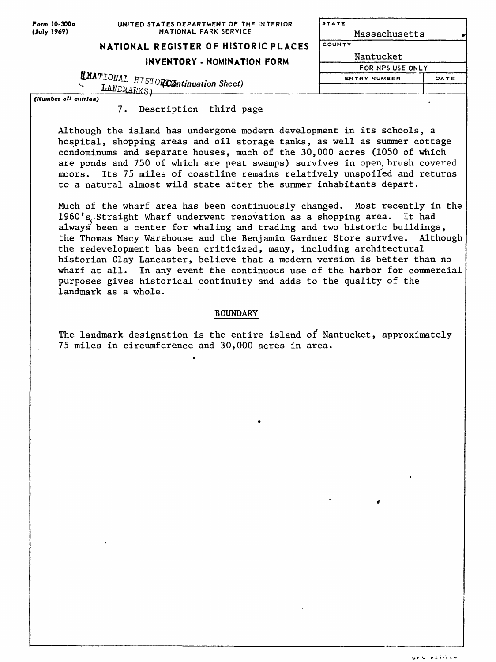| Form 10-300o<br>(July 1969) | UNITED STATES DEPARTMENT OF THE INTERIOR<br>NATIONAL PARK SERVICE       | STATE<br>Massachusetts |      |  |
|-----------------------------|-------------------------------------------------------------------------|------------------------|------|--|
|                             | NATIONAL REGISTER OF HISTORIC PLACES                                    | COUNTY                 |      |  |
|                             | INVENTORY - NOMINATION FORM                                             | Nantucket              |      |  |
|                             |                                                                         | FOR NPS USE ONLY       |      |  |
|                             | $\textbf{UNATIONAL}$ $\texttt{HISTOR}$ Continuation Sheet)<br>LANDMARKS | <b>ENTRY NUMBER</b>    | DATE |  |
| (Number all entries)        |                                                                         |                        |      |  |

1. Description third page

Although the island has undergone modern development in its schools, a hospital, shopping areas and oil storage tanks, as well as summer cottage condominums and separate houses, much of the 30,000 acres (1050 of which are ponds and 750 of which are peat swamps) survives in open brush covered moors. Its 75 miles of coastline remains relatively unspoiled and returns to a natural almost wild state after the summer inhabitants depart.

Much of the wharf area has been continuously changed. Most recently in the 1960's Straight Wharf underwent renovation as a shopping area. It had always been a center for whaling and trading and two historic buildings, the Thomas Macy Warehouse and the Benjamin Gardner Store survive. Although the redevelopment has been criticized, many, including architectural historian Clay Lancaster, believe that a modern version is better than no wharf at all. In any event the continuous use of the harbor for commercial purposes gives historical continuity and adds to the quality of the landmark as a whole.

## BOUNDARY

The landmark designation is the entire island of Nantucket, approximately 75 miles in circumference and 30,000 acres in area.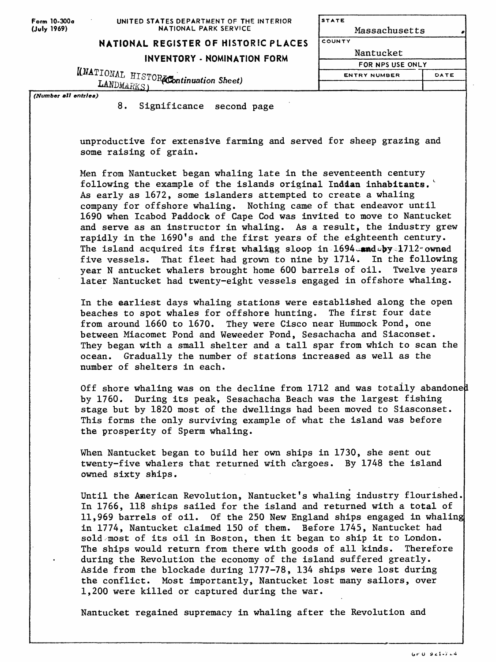**STATE** Massachusetts COUNTY

## **NATIONAL REGISTER OF HISTORIC PLACES**

**INVENTORY - NOMINATION FORM**

KNATIONAL HISTORACOntinuation Sheet) LANDMARKS)

| Nantucket           |      |
|---------------------|------|
| FOR NPS USE ONLY    |      |
| <b>ENTRY NUMBER</b> | DATE |
|                     |      |

*(Number all entries)*

8. Significance second page

unproductive for extensive farming and served for sheep grazing and some raising of grain.

Men from Nantucket began whaling late in the seventeenth century following the example of the islands original Indian inhabitants. As early as 1672, some islanders attempted to create a whaling company for offshore whaling. Nothing came of that endeavor until 1690 when Icabod Paddock of Cape Cod was invited to move to Nantucket and serve as an instructor in whaling. As a result, the industry grew rapidly in the 1690's and the first years of the eighteenth century. The island acquired its first whaling sloop in  $1694$  and  $v$ y<sup>-1712</sup> owned five vessels. That fleet had grown to nine by 1714. In the following year N antucket whalers brought home 600 barrels of oil. Twelve years later Nantucket had twenty-eight vessels engaged in offshore whaling.

In the earliest days whaling stations were established along the open beaches to spot whales for offshore hunting. The first four date from around 1660 to 1670. They were Cisco near Hummock Pond, one between Miacomet Pond and Weweeder Pond, Sesachacha and Siaconset. They began with a small shelter and a tall spar from which to scan the ocean. Gradually the number of stations increased as well as the number of shelters in each.

Off shore whaling was on the decline from 1712 and was totally abandone by 1760. During its peak, Sesachacha Beach was the largest fishing stage but by 1820 most of the dwellings had been moved to Siasconset. This forms the only surviving example of what the island was before the prosperity of Sperm whaling.

When Nantucket began to build her own ships in 1730, she sent out twenty-five whalers that returned with c'argoes. By 1748 the island owned sixty ships.

Until the American Revolution, Nantucket's whaling industry flourished. In 1766, 118 ships sailed for the island and returned with a total of 11,969 barrels of oil. Of the 250 New England ships engaged in whaling in 1774, Nantucket claimed 150 of them. Before 1745, Nantucket had sold most of its oil in Boston, then it began to ship it to London. The ships would return from there with goods of all kinds. Therefore during the Revolution the economy of the island suffered greatly. Aside from the blockade during 1777-78, 134 ships were lost during the conflict. Most importantly, Nantucket lost many sailors, over 1,200 were killed or captured during the war.

Nantucket regained supremacy in whaling after the Revolution and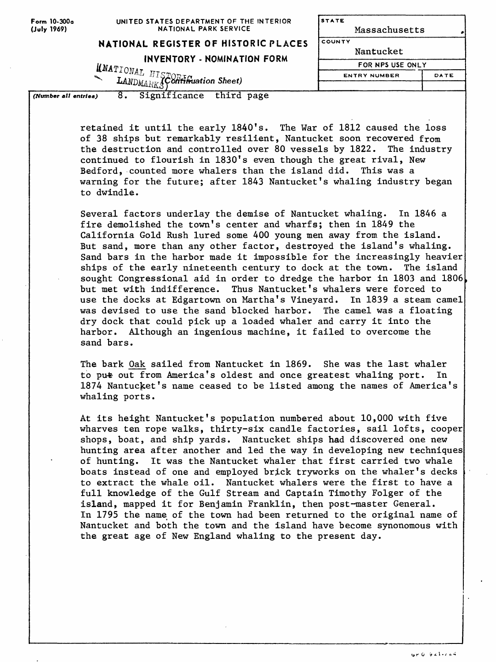| Form 10-300a<br>(July 1969) | UNITED STATES DEPARTMENT OF THE INTERIOR<br>NATIONAL PARK SERVICE                               | <b>STATE</b><br>Massachusetts |      |  |
|-----------------------------|-------------------------------------------------------------------------------------------------|-------------------------------|------|--|
|                             | NATIONAL REGISTER OF HISTORIC PLACES                                                            |                               |      |  |
|                             | INVENTORY - NOMINATION FORM                                                                     | FOR NPS USE ONLY              |      |  |
|                             | $\sum_{\text{LANDMAHKS}}^{M\text{ATIONAL}} \sum_{\text{H1STORF} \text{F}} \sum_{\text{L1}}^{T}$ | <b>ENTRY NUMBER</b>           | DATE |  |
| (Number all entries)        | Significance<br>third page                                                                      |                               |      |  |

retained it until the early 1840's. The War of 1812 caused the loss of 38 ships but remarkably resilient, Nantucket soon recovered from the destruction and controlled over 80 vessels by 1822. The industry continued to flourish in 1830's even though the great rival, New Bedford, counted more whalers than the island did. This was a warning for the future; after 1843 Nantucket's whaling industry began to dwindle.

Several factors underlay the demise of Nantucket whaling. In 1846 a fire demolished the town's center and wharfs; then in 1849 the California Gold Rush lured some 400 young men away from the island. But sand, more than any other factor, destroyed the island's whaling. Sand bars in the harbor made it impossible for the increasingly heavier ships of the early nineteenth century to dock at the town. The island sought Congressional aid in order to dredge the harbor in 1803 and 1806 but met with indifference. Thus Nantucket's whalers were forced to use the docks at Edgartown on Martha's Vineyard. In 1839 a steam camel was devised to use the sand blocked harbor. The camel was a floating dry dock that could pick up a loaded whaler and carry it into the harbor. Although an ingenious machine, it failed to overcome the sand bars.

The bark Oak sailed from Nantucket in 1869. She was the last whaler to pu<del>t</del> out from America's oldest and once greatest whaling port. In 1874 Nantucket's name ceased to be listed among the names of America's whaling ports.

At its height Nantucket's population numbered about 10,000 with five wharves ten rope walks, thirty-six candle factories, sail lofts, cooper shops, boat, and ship yards. Nantucket ships had discovered one new hunting area after another and led the way in developing new techniques of hunting. It was the Nantucket whaler that first carried two whale boats instead of one and employed brick tryworks on the whaler's decks to extract the whale oil. Nantucket whalers were the first to have a full knowledge of the Gulf Stream and Captain Timothy Folger of the island, mapped it for Benjamin Franklin, then post-master General. In 1795 the name of the town had been returned to the original name of Nantucket and both the town and the island have become synonomous with the great age of New England whaling to the present day.